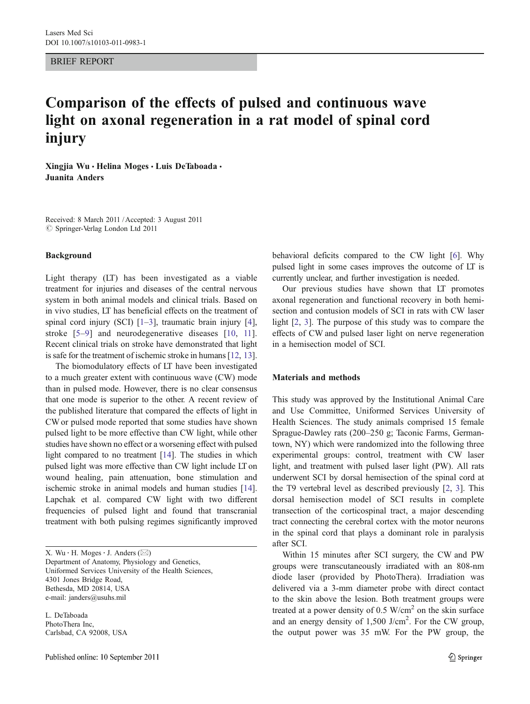BRIEF REPORT

# Comparison of the effects of pulsed and continuous wave light on axonal regeneration in a rat model of spinal cord injury

Xingjia Wu · Helina Moges · Luis DeTaboada · Juanita Anders

Received: 8 March 2011 /Accepted: 3 August 2011  $\oslash$  Springer-Verlag London Ltd 2011

#### Background

Light therapy (LT) has been investigated as a viable treatment for injuries and diseases of the central nervous system in both animal models and clinical trials. Based on in vivo studies, LT has beneficial effects on the treatment of spinal cord injury (SCI) [\[1](#page-2-0)–[3](#page-3-0)], traumatic brain injury [\[4](#page-3-0)], stroke [\[5](#page-3-0)–[9\]](#page-3-0) and neurodegenerative diseases [[10,](#page-3-0) [11](#page-3-0)]. Recent clinical trials on stroke have demonstrated that light is safe for the treatment of ischemic stroke in humans [\[12,](#page-3-0) [13\]](#page-3-0).

The biomodulatory effects of LT have been investigated to a much greater extent with continuous wave (CW) mode than in pulsed mode. However, there is no clear consensus that one mode is superior to the other. A recent review of the published literature that compared the effects of light in CW or pulsed mode reported that some studies have shown pulsed light to be more effective than CW light, while other studies have shown no effect or a worsening effect with pulsed light compared to no treatment [[14\]](#page-3-0). The studies in which pulsed light was more effective than CW light include LT on wound healing, pain attenuation, bone stimulation and ischemic stroke in animal models and human studies [[14\]](#page-3-0). Lapchak et al. compared CW light with two different frequencies of pulsed light and found that transcranial treatment with both pulsing regimes significantly improved

X. Wu  $\cdot$  H. Moges  $\cdot$  J. Anders ( $\boxtimes$ ) Department of Anatomy, Physiology and Genetics, Uniformed Services University of the Health Sciences, 4301 Jones Bridge Road, Bethesda, MD 20814, USA e-mail: janders@usuhs.mil

L. DeTaboada PhotoThera Inc, Carlsbad, CA 92008, USA behavioral deficits compared to the CW light [\[6\]](#page-3-0). Why pulsed light in some cases improves the outcome of LT is currently unclear, and further investigation is needed.

Our previous studies have shown that LT promotes axonal regeneration and functional recovery in both hemisection and contusion models of SCI in rats with CW laser light [[2,](#page-3-0) [3\]](#page-3-0). The purpose of this study was to compare the effects of CW and pulsed laser light on nerve regeneration in a hemisection model of SCI.

## Materials and methods

This study was approved by the Institutional Animal Care and Use Committee, Uniformed Services University of Health Sciences. The study animals comprised 15 female Sprague-Dawley rats (200–250 g; Taconic Farms, Germantown, NY) which were randomized into the following three experimental groups: control, treatment with CW laser light, and treatment with pulsed laser light (PW). All rats underwent SCI by dorsal hemisection of the spinal cord at the T9 vertebral level as described previously [[2,](#page-3-0) [3](#page-3-0)]. This dorsal hemisection model of SCI results in complete transection of the corticospinal tract, a major descending tract connecting the cerebral cortex with the motor neurons in the spinal cord that plays a dominant role in paralysis after SCI.

Within 15 minutes after SCI surgery, the CW and PW groups were transcutaneously irradiated with an 808-nm diode laser (provided by PhotoThera). Irradiation was delivered via a 3-mm diameter probe with direct contact to the skin above the lesion. Both treatment groups were treated at a power density of  $0.5$  W/cm<sup>2</sup> on the skin surface and an energy density of  $1,500$  J/cm<sup>2</sup>. For the CW group, the output power was 35 mW. For the PW group, the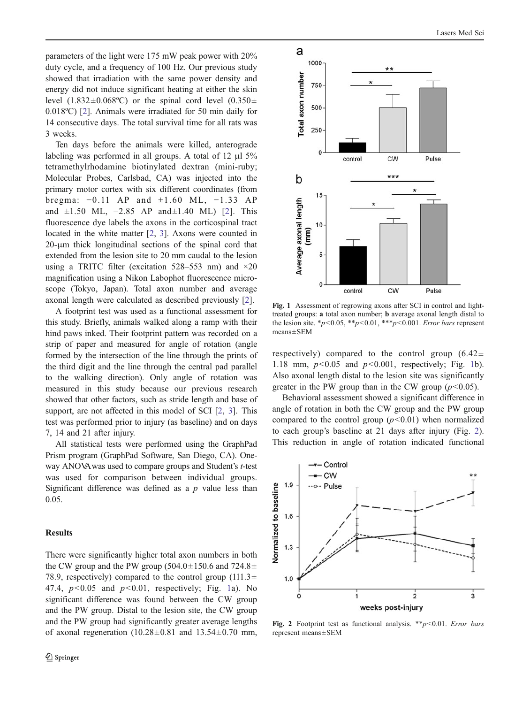parameters of the light were 175 mW peak power with 20% duty cycle, and a frequency of 100 Hz. Our previous study showed that irradiation with the same power density and energy did not induce significant heating at either the skin level  $(1.832\pm0.068$ °C) or the spinal cord level  $(0.350\pm$ 0.018ºC) [[2\]](#page-3-0). Animals were irradiated for 50 min daily for 14 consecutive days. The total survival time for all rats was 3 weeks.

Ten days before the animals were killed, anterograde labeling was performed in all groups. A total of 12 μl 5% tetramethylrhodamine biotinylated dextran (mini-ruby; Molecular Probes, Carlsbad, CA) was injected into the primary motor cortex with six different coordinates (from bregma:  $-0.11$  AP and  $\pm 1.60$  ML,  $-1.33$  AP and ±1.50 ML, −2.85 AP and±1.40 ML) [[2](#page-3-0)]. This fluorescence dye labels the axons in the corticospinal tract located in the white matter [\[2](#page-3-0), [3](#page-3-0)]. Axons were counted in 20-μm thick longitudinal sections of the spinal cord that extended from the lesion site to 20 mm caudal to the lesion using a TRITC filter (excitation  $528-553$  nm) and  $\times 20$ magnification using a Nikon Labophot fluorescence microscope (Tokyo, Japan). Total axon number and average axonal length were calculated as described previously [\[2](#page-3-0)].

A footprint test was used as a functional assessment for this study. Briefly, animals walked along a ramp with their hind paws inked. Their footprint pattern was recorded on a strip of paper and measured for angle of rotation (angle formed by the intersection of the line through the prints of the third digit and the line through the central pad parallel to the walking direction). Only angle of rotation was measured in this study because our previous research showed that other factors, such as stride length and base of support, are not affected in this model of SCI [\[2,](#page-3-0) [3\]](#page-3-0). This test was performed prior to injury (as baseline) and on days 7, 14 and 21 after injury.

All statistical tests were performed using the GraphPad Prism program (GraphPad Software, San Diego, CA). Oneway ANOVAwas used to compare groups and Student's t-test was used for comparison between individual groups. Significant difference was defined as a  $p$  value less than 0.05.

### Results

There were significantly higher total axon numbers in both the CW group and the PW group (504.0 $\pm$ 150.6 and 724.8 $\pm$ 78.9, respectively) compared to the control group  $(111.3\pm$ 47.4,  $p<0.05$  and  $p<0.01$ , respectively; Fig. 1a). No significant difference was found between the CW group and the PW group. Distal to the lesion site, the CW group and the PW group had significantly greater average lengths of axonal regeneration  $(10.28 \pm 0.81$  and  $13.54 \pm 0.70$  mm,



Fig. 1 Assessment of regrowing axons after SCI in control and lighttreated groups: a total axon number; b average axonal length distal to the lesion site. \* $p<0.05$ , \*\* $p<0.01$ , \*\*\* $p<0.001$ . Error bars represent means±SEM

respectively) compared to the control group  $(6.42 \pm$ 1.18 mm,  $p<0.05$  and  $p<0.001$ , respectively; Fig. 1b). Also axonal length distal to the lesion site was significantly greater in the PW group than in the CW group  $(p<0.05)$ .

Behavioral assessment showed a significant difference in angle of rotation in both the CW group and the PW group compared to the control group  $(p<0.01)$  when normalized to each group's baseline at 21 days after injury (Fig. 2). This reduction in angle of rotation indicated functional



Fig. 2 Footprint test as functional analysis. \*\* $p$  < 0.01. Error bars represent means±SEM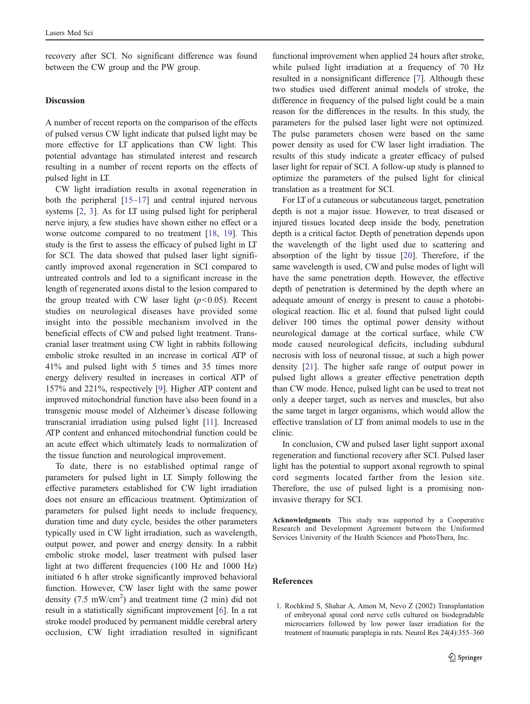<span id="page-2-0"></span>recovery after SCI. No significant difference was found between the CW group and the PW group.

# Discussion

A number of recent reports on the comparison of the effects of pulsed versus CW light indicate that pulsed light may be more effective for LT applications than CW light. This potential advantage has stimulated interest and research resulting in a number of recent reports on the effects of pulsed light in LT.

CW light irradiation results in axonal regeneration in both the peripheral [[15](#page-3-0)–[17\]](#page-3-0) and central injured nervous systems [\[2](#page-3-0), [3](#page-3-0)]. As for LT using pulsed light for peripheral nerve injury, a few studies have shown either no effect or a worse outcome compared to no treatment [[18,](#page-3-0) [19](#page-3-0)]. This study is the first to assess the efficacy of pulsed light in LT for SCI. The data showed that pulsed laser light significantly improved axonal regeneration in SCI compared to untreated controls and led to a significant increase in the length of regenerated axons distal to the lesion compared to the group treated with CW laser light  $(p<0.05)$ . Recent studies on neurological diseases have provided some insight into the possible mechanism involved in the beneficial effects of CW and pulsed light treatment. Transcranial laser treatment using CW light in rabbits following embolic stroke resulted in an increase in cortical ATP of 41% and pulsed light with 5 times and 35 times more energy delivery resulted in increases in cortical ATP of 157% and 221%, respectively [[9](#page-3-0)]. Higher ATP content and improved mitochondrial function have also been found in a transgenic mouse model of Alzheimer's disease following transcranial irradiation using pulsed light [\[11\]](#page-3-0). Increased ATP content and enhanced mitochondrial function could be an acute effect which ultimately leads to normalization of the tissue function and neurological improvement.

To date, there is no established optimal range of parameters for pulsed light in LT. Simply following the effective parameters established for CW light irradiation does not ensure an efficacious treatment. Optimization of parameters for pulsed light needs to include frequency, duration time and duty cycle, besides the other parameters typically used in CW light irradiation, such as wavelength, output power, and power and energy density. In a rabbit embolic stroke model, laser treatment with pulsed laser light at two different frequencies (100 Hz and 1000 Hz) initiated 6 h after stroke significantly improved behavioral function. However, CW laser light with the same power density (7.5 mW/cm<sup>2</sup>) and treatment time (2 min) did not result in a statistically significant improvement [\[6](#page-3-0)]. In a rat stroke model produced by permanent middle cerebral artery occlusion, CW light irradiation resulted in significant

functional improvement when applied 24 hours after stroke, while pulsed light irradiation at a frequency of 70 Hz resulted in a nonsignificant difference [[7\]](#page-3-0). Although these two studies used different animal models of stroke, the difference in frequency of the pulsed light could be a main reason for the differences in the results. In this study, the parameters for the pulsed laser light were not optimized. The pulse parameters chosen were based on the same power density as used for CW laser light irradiation. The results of this study indicate a greater efficacy of pulsed laser light for repair of SCI. A follow-up study is planned to optimize the parameters of the pulsed light for clinical translation as a treatment for SCI.

For LT of a cutaneous or subcutaneous target, penetration depth is not a major issue. However, to treat diseased or injured tissues located deep inside the body, penetration depth is a critical factor. Depth of penetration depends upon the wavelength of the light used due to scattering and absorption of the light by tissue [\[20\]](#page-3-0). Therefore, if the same wavelength is used, CW and pulse modes of light will have the same penetration depth. However, the effective depth of penetration is determined by the depth where an adequate amount of energy is present to cause a photobiological reaction. Ilic et al. found that pulsed light could deliver 100 times the optimal power density without neurological damage at the cortical surface, while CW mode caused neurological deficits, including subdural necrosis with loss of neuronal tissue, at such a high power density [\[21](#page-3-0)]. The higher safe range of output power in pulsed light allows a greater effective penetration depth than CW mode. Hence, pulsed light can be used to treat not only a deeper target, such as nerves and muscles, but also the same target in larger organisms, which would allow the effective translation of LT from animal models to use in the clinic.

In conclusion, CW and pulsed laser light support axonal regeneration and functional recovery after SCI. Pulsed laser light has the potential to support axonal regrowth to spinal cord segments located farther from the lesion site. Therefore, the use of pulsed light is a promising noninvasive therapy for SCI.

Acknowledgments This study was supported by a Cooperative Research and Development Agreement between the Uniformed Services University of the Health Sciences and PhotoThera, Inc.

#### References

1. Rochkind S, Shahar A, Amon M, Nevo Z (2002) Transplantation of embryonal spinal cord nerve cells cultured on biodegradable microcarriers followed by low power laser irradiation for the treatment of traumatic paraplegia in rats. Neurol Res 24(4):355–360